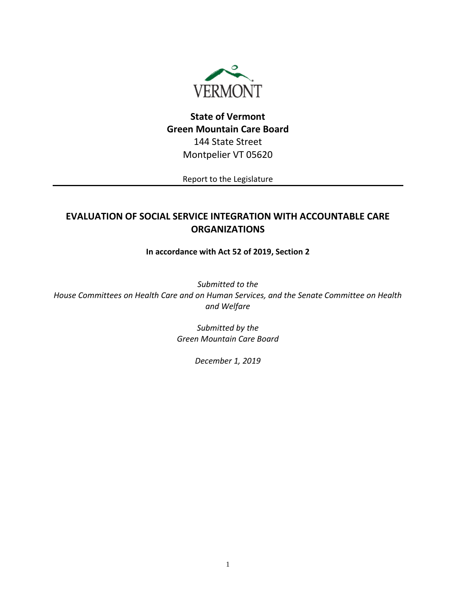

# **State of Vermont Green Mountain Care Board** 144 State Street Montpelier VT 05620

Report to the Legislature

# **EVALUATION OF SOCIAL SERVICE INTEGRATION WITH ACCOUNTABLE CARE ORGANIZATIONS**

## **In accordance with Act 52 of 2019, Section 2**

*Submitted to the House Committees on Health Care and on Human Services, and the Senate Committee on Health and Welfare*

> *Submitted by the Green Mountain Care Board*

> > *December 1, 2019*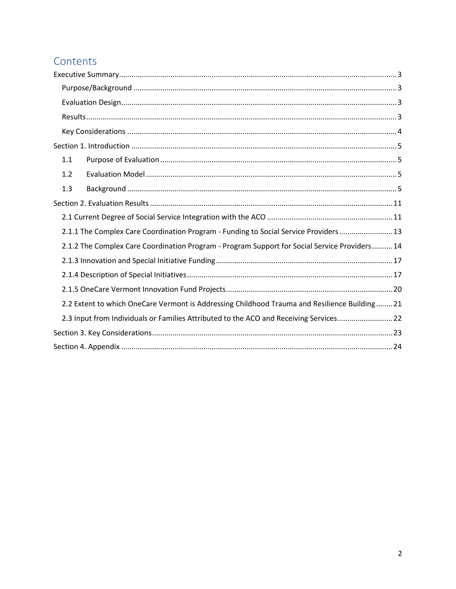# Contents

| 1.1                                                                                           |
|-----------------------------------------------------------------------------------------------|
| 1.2                                                                                           |
| 1.3                                                                                           |
|                                                                                               |
|                                                                                               |
| 2.1.1 The Complex Care Coordination Program - Funding to Social Service Providers 13          |
| 2.1.2 The Complex Care Coordination Program - Program Support for Social Service Providers 14 |
|                                                                                               |
|                                                                                               |
|                                                                                               |
| 2.2 Extent to which OneCare Vermont is Addressing Childhood Trauma and Resilience Building 21 |
| 2.3 Input from Individuals or Families Attributed to the ACO and Receiving Services22         |
|                                                                                               |
|                                                                                               |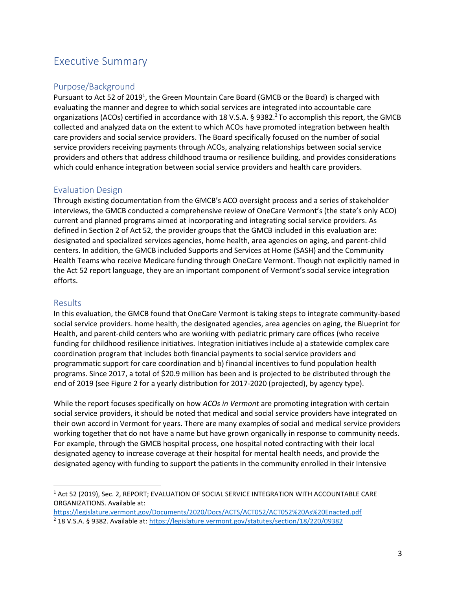# <span id="page-2-0"></span>Executive Summary

## <span id="page-2-1"></span>Purpose/Background

Pursuant to Act 52 of 2019<sup>1</sup>, the Green Mountain Care Board (GMCB or the Board) is charged with evaluating the manner and degree to which social services are integrated into accountable care organizations (ACOs) certified in accordance with 18 V.S.A. § 9382.<sup>2</sup> To accomplish this report, the GMCB collected and analyzed data on the extent to which ACOs have promoted integration between health care providers and social service providers. The Board specifically focused on the number of social service providers receiving payments through ACOs, analyzing relationships between social service providers and others that address childhood trauma or resilience building, and provides considerations which could enhance integration between social service providers and health care providers.

## <span id="page-2-2"></span>Evaluation Design

Through existing documentation from the GMCB's ACO oversight process and a series of stakeholder interviews, the GMCB conducted a comprehensive review of OneCare Vermont's (the state's only ACO) current and planned programs aimed at incorporating and integrating social service providers. As defined in Section 2 of Act 52, the provider groups that the GMCB included in this evaluation are: designated and specialized services agencies, home health, area agencies on aging, and parent-child centers. In addition, the GMCB included Supports and Services at Home (SASH) and the Community Health Teams who receive Medicare funding through OneCare Vermont. Though not explicitly named in the Act 52 report language, they are an important component of Vermont's social service integration efforts.

#### <span id="page-2-3"></span>Results

In this evaluation, the GMCB found that OneCare Vermont is taking steps to integrate community-based social service providers. home health, the designated agencies, area agencies on aging, the Blueprint for Health, and parent-child centers who are working with pediatric primary care offices (who receive funding for childhood resilience initiatives. Integration initiatives include a) a statewide complex care coordination program that includes both financial payments to social service providers and programmatic support for care coordination and b) financial incentives to fund population health programs. Since 2017, a total of \$20.9 million has been and is projected to be distributed through the end of 2019 (see Figure 2 for a yearly distribution for 2017-2020 (projected), by agency type).

While the report focuses specifically on how *ACOs in Vermont* are promoting integration with certain social service providers, it should be noted that medical and social service providers have integrated on their own accord in Vermont for years. There are many examples of social and medical service providers working together that do not have a name but have grown organically in response to community needs. For example, through the GMCB hospital process, one hospital noted contracting with their local designated agency to increase coverage at their hospital for mental health needs, and provide the designated agency with funding to support the patients in the community enrolled in their Intensive

<sup>1</sup> Act 52 (2019), Sec. 2, REPORT; EVALUATION OF SOCIAL SERVICE INTEGRATION WITH ACCOUNTABLE CARE ORGANIZATIONS. Available at:

<https://legislature.vermont.gov/Documents/2020/Docs/ACTS/ACT052/ACT052%20As%20Enacted.pdf> <sup>2</sup> 18 V.S.A. § 9382. Available at[: https://legislature.vermont.gov/statutes/section/18/220/09382](https://legislature.vermont.gov/statutes/section/18/220/09382)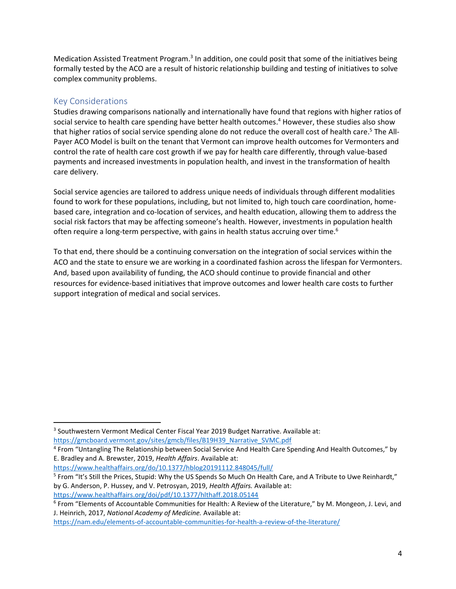Medication Assisted Treatment Program.<sup>3</sup> In addition, one could posit that some of the initiatives being formally tested by the ACO are a result of historic relationship building and testing of initiatives to solve complex community problems.

### <span id="page-3-0"></span>Key Considerations

Studies drawing comparisons nationally and internationally have found that regions with higher ratios of social service to health care spending have better health outcomes. <sup>4</sup> However, these studies also show that higher ratios of social service spending alone do not reduce the overall cost of health care.<sup>5</sup> The All-Payer ACO Model is built on the tenant that Vermont can improve health outcomes for Vermonters and control the rate of health care cost growth if we pay for health care differently, through value-based payments and increased investments in population health, and invest in the transformation of health care delivery.

Social service agencies are tailored to address unique needs of individuals through different modalities found to work for these populations, including, but not limited to, high touch care coordination, homebased care, integration and co-location of services, and health education, allowing them to address the social risk factors that may be affecting someone's health. However, investments in population health often require a long-term perspective, with gains in health status accruing over time.<sup>6</sup>

To that end, there should be a continuing conversation on the integration of social services within the ACO and the state to ensure we are working in a coordinated fashion across the lifespan for Vermonters. And, based upon availability of funding, the ACO should continue to provide financial and other resources for evidence-based initiatives that improve outcomes and lower health care costs to further support integration of medical and social services.

<sup>&</sup>lt;sup>3</sup> Southwestern Vermont Medical Center Fiscal Year 2019 Budget Narrative. Available at: [https://gmcboard.vermont.gov/sites/gmcb/files/B19H39\\_Narrative\\_SVMC.pdf](https://gmcboard.vermont.gov/sites/gmcb/files/B19H39_Narrative_SVMC.pdf)

<sup>&</sup>lt;sup>4</sup> From "Untangling The Relationship between Social Service And Health Care Spending And Health Outcomes," by E. Bradley and A. Brewster, 2019, *Health Affairs*. Available at:

<https://www.healthaffairs.org/do/10.1377/hblog20191112.848045/full/>

<sup>&</sup>lt;sup>5</sup> From "It's Still the Prices, Stupid: Why the US Spends So Much On Health Care, and A Tribute to Uwe Reinhardt," by G. Anderson, P. Hussey, and V. Petrosyan, 2019, *Health Affairs.* Available at: <https://www.healthaffairs.org/doi/pdf/10.1377/hlthaff.2018.05144>

<sup>6</sup> From "Elements of Accountable Communities for Health: A Review of the Literature," by M. Mongeon, J. Levi, and J. Heinrich, 2017, *National Academy of Medicine.* Available at:

<https://nam.edu/elements-of-accountable-communities-for-health-a-review-of-the-literature/>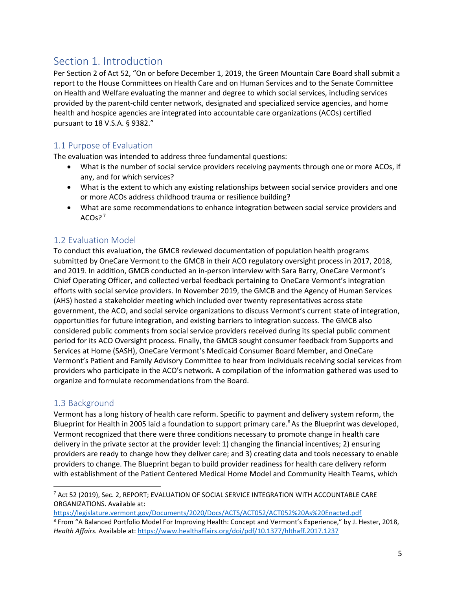# <span id="page-4-0"></span>Section 1. Introduction

Per Section 2 of Act 52, "On or before December 1, 2019, the Green Mountain Care Board shall submit a report to the House Committees on Health Care and on Human Services and to the Senate Committee on Health and Welfare evaluating the manner and degree to which social services, including services provided by the parent-child center network, designated and specialized service agencies, and home health and hospice agencies are integrated into accountable care organizations (ACOs) certified pursuant to 18 V.S.A. § 9382."

## <span id="page-4-1"></span>1.1 Purpose of Evaluation

The evaluation was intended to address three fundamental questions:

- What is the number of social service providers receiving payments through one or more ACOs, if any, and for which services?
- What is the extent to which any existing relationships between social service providers and one or more ACOs address childhood trauma or resilience building?
- What are some recommendations to enhance integration between social service providers and  $ACOs?$ <sup>7</sup>

## <span id="page-4-2"></span>1.2 Evaluation Model

To conduct this evaluation, the GMCB reviewed documentation of population health programs submitted by OneCare Vermont to the GMCB in their ACO regulatory oversight process in 2017, 2018, and 2019. In addition, GMCB conducted an in-person interview with Sara Barry, OneCare Vermont's Chief Operating Officer, and collected verbal feedback pertaining to OneCare Vermont's integration efforts with social service providers. In November 2019, the GMCB and the Agency of Human Services (AHS) hosted a stakeholder meeting which included over twenty representatives across state government, the ACO, and social service organizations to discuss Vermont's current state of integration, opportunities for future integration, and existing barriers to integration success. The GMCB also considered public comments from social service providers received during its special public comment period for its ACO Oversight process. Finally, the GMCB sought consumer feedback from Supports and Services at Home (SASH), OneCare Vermont's Medicaid Consumer Board Member, and OneCare Vermont's Patient and Family Advisory Committee to hear from individuals receiving social services from providers who participate in the ACO's network. A compilation of the information gathered was used to organize and formulate recommendations from the Board.

## <span id="page-4-3"></span>1.3 Background

Vermont has a long history of health care reform. Specific to payment and delivery system reform, the Blueprint for Health in 2005 laid a foundation to support primary care.<sup>8</sup> As the Blueprint was developed, Vermont recognized that there were three conditions necessary to promote change in health care delivery in the private sector at the provider level: 1) changing the financial incentives; 2) ensuring providers are ready to change how they deliver care; and 3) creating data and tools necessary to enable providers to change. The Blueprint began to build provider readiness for health care delivery reform with establishment of the Patient Centered Medical Home Model and Community Health Teams, which

<sup>7</sup> Act 52 (2019), Sec. 2, REPORT; EVALUATION OF SOCIAL SERVICE INTEGRATION WITH ACCOUNTABLE CARE ORGANIZATIONS. Available at:

<https://legislature.vermont.gov/Documents/2020/Docs/ACTS/ACT052/ACT052%20As%20Enacted.pdf> 8 From "A Balanced Portfolio Model For Improving Health: Concept and Vermont's Experience," by J. Hester, 2018, *Health Affairs.* Available at:<https://www.healthaffairs.org/doi/pdf/10.1377/hlthaff.2017.1237>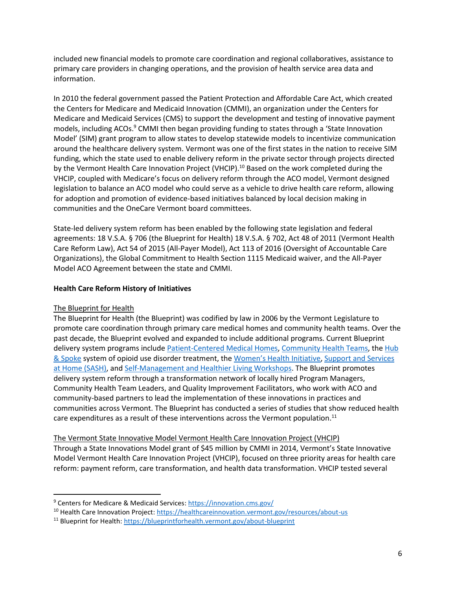included new financial models to promote care coordination and regional collaboratives, assistance to primary care providers in changing operations, and the provision of health service area data and information.

In 2010 the federal government passed the Patient Protection and Affordable Care Act, which created the Centers for Medicare and Medicaid Innovation (CMMI), an organization under the Centers for Medicare and Medicaid Services (CMS) to support the development and testing of innovative payment models, including ACOs.<sup>9</sup> CMMI then began providing funding to states through a 'State Innovation Model' (SIM) grant program to allow states to develop statewide models to incentivize communication around the healthcare delivery system. Vermont was one of the first states in the nation to receive SIM funding, which the state used to enable delivery reform in the private sector through projects directed by the Vermont Health Care Innovation Project (VHCIP).<sup>10</sup> Based on the work completed during the VHCIP, coupled with Medicare's focus on delivery reform through the ACO model, Vermont designed legislation to balance an ACO model who could serve as a vehicle to drive health care reform, allowing for adoption and promotion of evidence-based initiatives balanced by local decision making in communities and the OneCare Vermont board committees.

State-led delivery system reform has been enabled by the following state legislation and federal agreements: 18 V.S.A. § 706 (the Blueprint for Health) 18 V.S.A. § 702, Act 48 of 2011 (Vermont Health Care Reform Law), Act 54 of 2015 (All-Payer Model), Act 113 of 2016 (Oversight of Accountable Care Organizations), the Global Commitment to Health Section 1115 Medicaid waiver, and the All-Payer Model ACO Agreement between the state and CMMI.

#### **Health Care Reform History of Initiatives**

#### The Blueprint for Health

The Blueprint for Health (the Blueprint) was codified by law in 2006 by the Vermont Legislature to promote care coordination through primary care medical homes and community health teams. Over the past decade, the Blueprint evolved and expanded to include additional programs. Current Blueprint delivery system programs include [Patient-Centered Medical Homes,](https://blueprintforhealth.vermont.gov/about-blueprint/patient-centered-medical-homes) [Community Health Teams,](https://blueprintforhealth.vermont.gov/about-blueprint/blueprint-community-health-teams) the [Hub](https://blueprintforhealth.vermont.gov/about-blueprint/hub-and-spoke)  [& Spoke](https://blueprintforhealth.vermont.gov/about-blueprint/hub-and-spoke) system of opioid use disorder treatment, the [Women's Health Initiative](https://blueprintforhealth.vermont.gov/about-blueprint/womens-health-initiative), [Support and Services](https://blueprintforhealth.vermont.gov/about-blueprint/support-and-services-home)  [at Home \(SASH\),](https://blueprintforhealth.vermont.gov/about-blueprint/support-and-services-home) and [Self-Management and Healthier Living Workshops.](https://blueprintforhealth.vermont.gov/about-blueprint/self-management-programs) The Blueprint promotes delivery system reform through a transformation network of locally hired Program Managers, Community Health Team Leaders, and Quality Improvement Facilitators, who work with ACO and community-based partners to lead the implementation of these innovations in practices and communities across Vermont. The Blueprint has conducted a series of studies that show reduced health care expenditures as a result of these interventions across the Vermont population.<sup>11</sup>

#### The Vermont State Innovative Model Vermont Health Care Innovation Project (VHCIP)

Through a State Innovations Model grant of \$45 million by CMMI in 2014, Vermont's State Innovative Model Vermont Health Care Innovation Project (VHCIP), focused on three priority areas for health care reform: payment reform, care transformation, and health data transformation. VHCIP tested several

<sup>&</sup>lt;sup>9</sup> Centers for Medicare & Medicaid Services:<https://innovation.cms.gov/>

<sup>&</sup>lt;sup>10</sup> Health Care Innovation Project[: https://healthcareinnovation.vermont.gov/resources/about-us](https://healthcareinnovation.vermont.gov/resources/about-us)

<sup>&</sup>lt;sup>11</sup> Blueprint for Health[: https://blueprintforhealth.vermont.gov/about-blueprint](https://blueprintforhealth.vermont.gov/about-blueprint)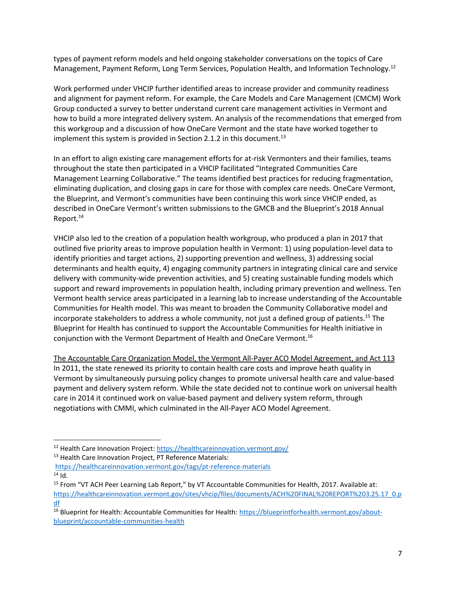types of payment reform models and held ongoing stakeholder conversations on the topics of Care Management, Payment Reform, Long Term Services, Population Health, and Information Technology.<sup>12</sup>

Work performed under VHCIP further identified areas to increase provider and community readiness and alignment for payment reform. For example, the Care Models and Care Management (CMCM) Work Group conducted a survey to better understand current care management activities in Vermont and how to build a more integrated delivery system. An analysis of the recommendations that emerged from this workgroup and a discussion of how OneCare Vermont and the state have worked together to implement this system is provided in Section 2.1.2 in this document.<sup>13</sup>

In an effort to align existing care management efforts for at-risk Vermonters and their families, teams throughout the state then participated in a VHCIP facilitated "Integrated Communities Care Management Learning Collaborative." The teams identified best practices for reducing fragmentation, eliminating duplication, and closing gaps in care for those with complex care needs. OneCare Vermont, the Blueprint, and Vermont's communities have been continuing this work since VHCIP ended, as described in OneCare Vermont's written submissions to the GMCB and the Blueprint's 2018 Annual Report.<sup>14</sup>

VHCIP also led to the creation of a population health workgroup, who produced a plan in 2017 that outlined five priority areas to improve population health in Vermont: 1) using population-level data to identify priorities and target actions, 2) supporting prevention and wellness, 3) addressing social determinants and health equity, 4) engaging community partners in integrating clinical care and service delivery with community-wide prevention activities, and 5) creating sustainable funding models which support and reward improvements in population health, including primary prevention and wellness. Ten Vermont health service areas participated in a learning lab to increase understanding of the Accountable Communities for Health model. This was meant to broaden the Community Collaborative model and incorporate stakeholders to address a whole community, not just a defined group of patients.<sup>15</sup> The Blueprint for Health has continued to support the Accountable Communities for Health initiative in conjunction with the Vermont Department of Health and OneCare Vermont. 16

The Accountable Care Organization Model, the Vermont All-Payer ACO Model Agreement, and Act 113 In 2011, the state renewed its priority to contain health care costs and improve heath quality in Vermont by simultaneously pursuing policy changes to promote universal health care and value-based payment and delivery system reform. While the state decided not to continue work on universal health care in 2014 it continued work on value-based payment and delivery system reform, through negotiations with CMMI, which culminated in the All-Payer ACO Model Agreement.

<sup>12</sup> Health Care Innovation Project[: https://healthcareinnovation.vermont.gov/](https://healthcareinnovation.vermont.gov/)

<sup>&</sup>lt;sup>13</sup> Health Care Innovation Project, PT Reference Materials:

<https://healthcareinnovation.vermont.gov/tags/pt-reference-materials>  $14$  Id.

<sup>&</sup>lt;sup>15</sup> From "VT ACH Peer Learning Lab Report," by VT Accountable Communities for Health, 2017. Available at: [https://healthcareinnovation.vermont.gov/sites/vhcip/files/documents/ACH%20FINAL%20REPORT%203.25.17\\_0.p](https://healthcareinnovation.vermont.gov/sites/vhcip/files/documents/ACH%20FINAL%20REPORT%203.25.17_0.pdf) [df](https://healthcareinnovation.vermont.gov/sites/vhcip/files/documents/ACH%20FINAL%20REPORT%203.25.17_0.pdf)

<sup>&</sup>lt;sup>16</sup> Blueprint for Health: Accountable Communities for Health[: https://blueprintforhealth.vermont.gov/about](https://blueprintforhealth.vermont.gov/about-blueprint/accountable-communities-health)[blueprint/accountable-communities-health](https://blueprintforhealth.vermont.gov/about-blueprint/accountable-communities-health)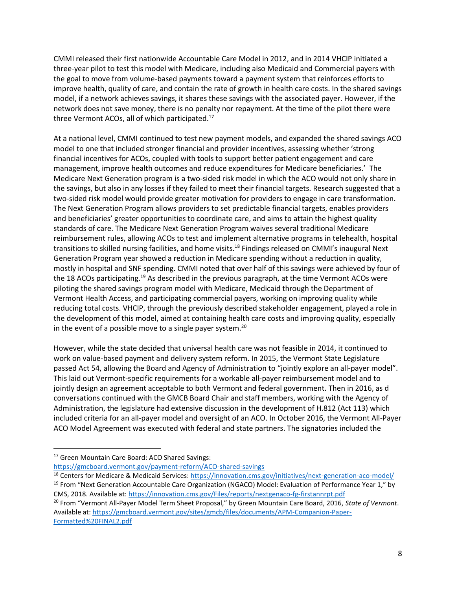CMMI released their first nationwide Accountable Care Model in 2012, and in 2014 VHCIP initiated a three-year pilot to test this model with Medicare, including also Medicaid and Commercial payers with the goal to move from volume-based payments toward a payment system that reinforces efforts to improve health, quality of care, and contain the rate of growth in health care costs. In the shared savings model, if a network achieves savings, it shares these savings with the associated payer. However, if the network does not save money, there is no penalty nor repayment. At the time of the pilot there were three Vermont ACOs, all of which participated.<sup>17</sup>

At a national level, CMMI continued to test new payment models, and expanded the shared savings ACO model to one that included stronger financial and provider incentives, assessing whether 'strong financial incentives for ACOs, coupled with tools to support better patient engagement and care management, improve health outcomes and reduce expenditures for Medicare beneficiaries.' The Medicare Next Generation program is a two-sided risk model in which the ACO would not only share in the savings, but also in any losses if they failed to meet their financial targets. Research suggested that a two-sided risk model would provide greater motivation for providers to engage in care transformation. The Next Generation Program allows providers to set predictable financial targets, enables providers and beneficiaries' greater opportunities to coordinate care, and aims to attain the highest quality standards of care. The Medicare Next Generation Program waives several traditional Medicare reimbursement rules, allowing ACOs to test and implement alternative programs in telehealth, hospital transitions to skilled nursing facilities, and home visits.<sup>18</sup> Findings released on CMMI's inaugural Next Generation Program year showed a reduction in Medicare spending without a reduction in quality, mostly in hospital and SNF spending. CMMI noted that over half of this savings were achieved by four of the 18 ACOs participating.<sup>19</sup> As described in the previous paragraph, at the time Vermont ACOs were piloting the shared savings program model with Medicare, Medicaid through the Department of Vermont Health Access, and participating commercial payers, working on improving quality while reducing total costs. VHCIP, through the previously described stakeholder engagement, played a role in the development of this model, aimed at containing health care costs and improving quality, especially in the event of a possible move to a single payer system.<sup>20</sup>

However, while the state decided that universal health care was not feasible in 2014, it continued to work on value-based payment and delivery system reform. In 2015, the Vermont State Legislature passed Act 54, allowing the Board and Agency of Administration to "jointly explore an all-payer model". This laid out Vermont-specific requirements for a workable all-payer reimbursement model and to jointly design an agreement acceptable to both Vermont and federal government. Then in 2016, as d conversations continued with the GMCB Board Chair and staff members, working with the Agency of Administration, the legislature had extensive discussion in the development of H.812 (Act 113) which included criteria for an all-payer model and oversight of an ACO. In October 2016, the Vermont All-Payer ACO Model Agreement was executed with federal and state partners. The signatories included the

<sup>&</sup>lt;sup>17</sup> Green Mountain Care Board: ACO Shared Savings:

<https://gmcboard.vermont.gov/payment-reform/ACO-shared-savings>

<sup>&</sup>lt;sup>18</sup> Centers for Medicare & Medicaid Services:<https://innovation.cms.gov/initiatives/next-generation-aco-model/>

<sup>&</sup>lt;sup>19</sup> From "Next Generation Accountable Care Organization (NGACO) Model: Evaluation of Performance Year 1," by CMS, 2018. Available at[: https://innovation.cms.gov/Files/reports/nextgenaco-fg-firstannrpt.pdf](https://innovation.cms.gov/Files/reports/nextgenaco-fg-firstannrpt.pdf)

<sup>20</sup> From "Vermont All-Payer Model Term Sheet Proposal," by Green Mountain Care Board, 2016, *State of Vermont*. Available at[: https://gmcboard.vermont.gov/sites/gmcb/files/documents/APM-Companion-Paper-](https://gmcboard.vermont.gov/sites/gmcb/files/documents/APM-Companion-Paper-Formatted%20FINAL2.pdf)[Formatted%20FINAL2.pdf](https://gmcboard.vermont.gov/sites/gmcb/files/documents/APM-Companion-Paper-Formatted%20FINAL2.pdf)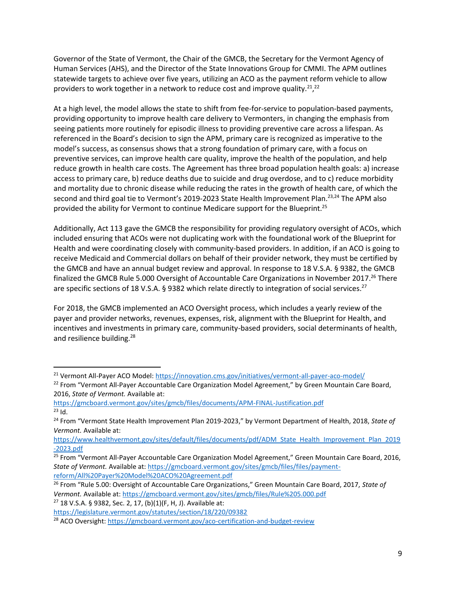Governor of the State of Vermont, the Chair of the GMCB, the Secretary for the Vermont Agency of Human Services (AHS), and the Director of the State Innovations Group for CMMI. The APM outlines statewide targets to achieve over five years, utilizing an ACO as the payment reform vehicle to allow providers to work together in a network to reduce cost and improve quality.<sup>21</sup>,<sup>22</sup>

At a high level, the model allows the state to shift from fee-for-service to population-based payments, providing opportunity to improve health care delivery to Vermonters, in changing the emphasis from seeing patients more routinely for episodic illness to providing preventive care across a lifespan. As referenced in the Board's decision to sign the APM, primary care is recognized as imperative to the model's success, as consensus shows that a strong foundation of primary care, with a focus on preventive services, can improve health care quality, improve the health of the population, and help reduce growth in health care costs. The Agreement has three broad population health goals: a) increase access to primary care, b) reduce deaths due to suicide and drug overdose, and to c) reduce morbidity and mortality due to chronic disease while reducing the rates in the growth of health care, of which the second and third goal tie to Vermont's 2019-2023 State Health Improvement Plan.<sup>23,24</sup> The APM also provided the ability for Vermont to continue Medicare support for the Blueprint.<sup>25</sup>

Additionally, Act 113 gave the GMCB the responsibility for providing regulatory oversight of ACOs, which included ensuring that ACOs were not duplicating work with the foundational work of the Blueprint for Health and were coordinating closely with community-based providers. In addition, if an ACO is going to receive Medicaid and Commercial dollars on behalf of their provider network, they must be certified by the GMCB and have an annual budget review and approval. In response to 18 V.S.A. § 9382, the GMCB finalized the GMCB Rule 5.000 Oversight of Accountable Care Organizations in November 2017.<sup>26</sup> There are specific sections of 18 V.S.A. § 9382 which relate directly to integration of social services.<sup>27</sup>

For 2018, the GMCB implemented an ACO Oversight process, which includes a yearly review of the payer and provider networks, revenues, expenses, risk, alignment with the Blueprint for Health, and incentives and investments in primary care, community-based providers, social determinants of health, and resilience building.<sup>28</sup>

<sup>27</sup> 18 V.S.A. § 9382, Sec. 2, 17, (b)(1)(F, H, J). Available at:

<sup>&</sup>lt;sup>21</sup> Vermont All-Payer ACO Model:<https://innovation.cms.gov/initiatives/vermont-all-payer-aco-model/>

<sup>&</sup>lt;sup>22</sup> From "Vermont All-Payer Accountable Care Organization Model Agreement," by Green Mountain Care Board, 2016, *State of Vermont.* Available at:

<https://gmcboard.vermont.gov/sites/gmcb/files/documents/APM-FINAL-Justification.pdf>  $23$  Id.

<sup>24</sup> From "Vermont State Health Improvement Plan 2019-2023," by Vermont Department of Health, 2018, *State of Vermont.* Available at:

[https://www.healthvermont.gov/sites/default/files/documents/pdf/ADM\\_State\\_Health\\_Improvement\\_Plan\\_2019](https://www.healthvermont.gov/sites/default/files/documents/pdf/ADM_State_Health_Improvement_Plan_2019-2023.pdf) [-2023.pdf](https://www.healthvermont.gov/sites/default/files/documents/pdf/ADM_State_Health_Improvement_Plan_2019-2023.pdf)

<sup>&</sup>lt;sup>25</sup> From "Vermont All-Payer Accountable Care Organization Model Agreement," Green Mountain Care Board, 2016, *State of Vermont.* Available at[: https://gmcboard.vermont.gov/sites/gmcb/files/files/payment](https://gmcboard.vermont.gov/sites/gmcb/files/files/payment-reform/All%20Payer%20Model%20ACO%20Agreement.pdf)[reform/All%20Payer%20Model%20ACO%20Agreement.pdf](https://gmcboard.vermont.gov/sites/gmcb/files/files/payment-reform/All%20Payer%20Model%20ACO%20Agreement.pdf)

<sup>26</sup> From "Rule 5.00: Oversight of Accountable Care Organizations," Green Mountain Care Board, 2017, *State of Vermont.* Available at[: https://gmcboard.vermont.gov/sites/gmcb/files/Rule%205.000.pdf](https://gmcboard.vermont.gov/sites/gmcb/files/Rule%205.000.pdf)

<https://legislature.vermont.gov/statutes/section/18/220/09382>

<sup>&</sup>lt;sup>28</sup> ACO Oversight:<https://gmcboard.vermont.gov/aco-certification-and-budget-review>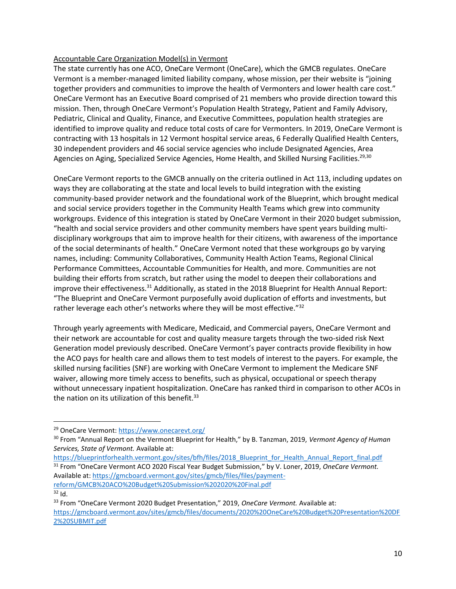#### Accountable Care Organization Model(s) in Vermont

The state currently has one ACO, OneCare Vermont (OneCare), which the GMCB regulates. OneCare Vermont is a member-managed limited liability company, whose mission, per their website is "joining together providers and communities to improve the health of Vermonters and lower health care cost." OneCare Vermont has an Executive Board comprised of 21 members who provide direction toward this mission. Then, through OneCare Vermont's Population Health Strategy, Patient and Family Advisory, Pediatric, Clinical and Quality, Finance, and Executive Committees, population health strategies are identified to improve quality and reduce total costs of care for Vermonters. In 2019, OneCare Vermont is contracting with 13 hospitals in 12 Vermont hospital service areas, 6 Federally Qualified Health Centers, 30 independent providers and 46 social service agencies who include Designated Agencies, Area Agencies on Aging, Specialized Service Agencies, Home Health, and Skilled Nursing Facilities.<sup>29,30</sup>

OneCare Vermont reports to the GMCB annually on the criteria outlined in Act 113, including updates on ways they are collaborating at the state and local levels to build integration with the existing community-based provider network and the foundational work of the Blueprint, which brought medical and social service providers together in the Community Health Teams which grew into community workgroups. Evidence of this integration is stated by OneCare Vermont in their 2020 budget submission, "health and social service providers and other community members have spent years building multidisciplinary workgroups that aim to improve health for their citizens, with awareness of the importance of the social determinants of health." OneCare Vermont noted that these workgroups go by varying names, including: Community Collaboratives, Community Health Action Teams, Regional Clinical Performance Committees, Accountable Communities for Health, and more. Communities are not building their efforts from scratch, but rather using the model to deepen their collaborations and improve their effectiveness.<sup>31</sup> Additionally, as stated in the 2018 Blueprint for Health Annual Report: "The Blueprint and OneCare Vermont purposefully avoid duplication of efforts and investments, but rather leverage each other's networks where they will be most effective."<sup>32</sup>

Through yearly agreements with Medicare, Medicaid, and Commercial payers, OneCare Vermont and their network are accountable for cost and quality measure targets through the two-sided risk Next Generation model previously described. OneCare Vermont's payer contracts provide flexibility in how the ACO pays for health care and allows them to test models of interest to the payers. For example, the skilled nursing facilities (SNF) are working with OneCare Vermont to implement the Medicare SNF waiver, allowing more timely access to benefits, such as physical, occupational or speech therapy without unnecessary inpatient hospitalization. OneCare has ranked third in comparison to other ACOs in the nation on its utilization of this benefit.<sup>33</sup>

[https://blueprintforhealth.vermont.gov/sites/bfh/files/2018\\_Blueprint\\_for\\_Health\\_Annual\\_Report\\_final.pdf](https://blueprintforhealth.vermont.gov/sites/bfh/files/2018_Blueprint_for_Health_Annual_Report_final.pdf) <sup>31</sup> From "OneCare Vermont ACO 2020 Fiscal Year Budget Submission," by V. Loner, 2019, *OneCare Vermont.*  Available at[: https://gmcboard.vermont.gov/sites/gmcb/files/files/payment](https://gmcboard.vermont.gov/sites/gmcb/files/files/payment-reform/GMCB%20ACO%20Budget%20Submission%202020%20Final.pdf)[reform/GMCB%20ACO%20Budget%20Submission%202020%20Final.pdf](https://gmcboard.vermont.gov/sites/gmcb/files/files/payment-reform/GMCB%20ACO%20Budget%20Submission%202020%20Final.pdf)

 $32$  Id.

<sup>29</sup> OneCare Vermont:<https://www.onecarevt.org/>

<sup>30</sup> From "Annual Report on the Vermont Blueprint for Health," by B. Tanzman, 2019, *Vermont Agency of Human Services, State of Vermont.* Available at:

<sup>33</sup> From "OneCare Vermont 2020 Budget Presentation," 2019, *OneCare Vermont.* Available at: [https://gmcboard.vermont.gov/sites/gmcb/files/documents/2020%20OneCare%20Budget%20Presentation%20DF](https://gmcboard.vermont.gov/sites/gmcb/files/documents/2020%20OneCare%20Budget%20Presentation%20DF2%20SUBMIT.pdf) [2%20SUBMIT.pdf](https://gmcboard.vermont.gov/sites/gmcb/files/documents/2020%20OneCare%20Budget%20Presentation%20DF2%20SUBMIT.pdf)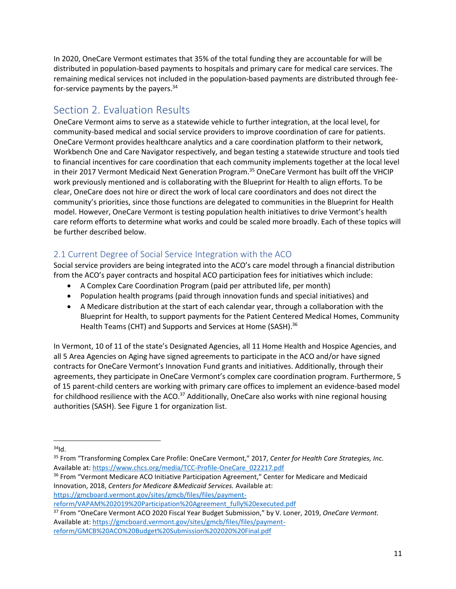In 2020, OneCare Vermont estimates that 35% of the total funding they are accountable for will be distributed in population-based payments to hospitals and primary care for medical care services. The remaining medical services not included in the population-based payments are distributed through feefor-service payments by the payers.<sup>34</sup>

# <span id="page-10-0"></span>Section 2. Evaluation Results

OneCare Vermont aims to serve as a statewide vehicle to further integration, at the local level, for community-based medical and social service providers to improve coordination of care for patients. OneCare Vermont provides healthcare analytics and a care coordination platform to their network, Workbench One and Care Navigator respectively, and began testing a statewide structure and tools tied to financial incentives for care coordination that each community implements together at the local level in their 2017 Vermont Medicaid Next Generation Program.<sup>35</sup> OneCare Vermont has built off the VHCIP work previously mentioned and is collaborating with the Blueprint for Health to align efforts. To be clear, OneCare does not hire or direct the work of local care coordinators and does not direct the community's priorities, since those functions are delegated to communities in the Blueprint for Health model. However, OneCare Vermont is testing population health initiatives to drive Vermont's health care reform efforts to determine what works and could be scaled more broadly. Each of these topics will be further described below.

## <span id="page-10-1"></span>2.1 Current Degree of Social Service Integration with the ACO

Social service providers are being integrated into the ACO's care model through a financial distribution from the ACO's payer contracts and hospital ACO participation fees for initiatives which include:

- A Complex Care Coordination Program (paid per attributed life, per month)
- Population health programs (paid through innovation funds and special initiatives) and
- A Medicare distribution at the start of each calendar year, through a collaboration with the Blueprint for Health, to support payments for the Patient Centered Medical Homes, Community Health Teams (CHT) and Supports and Services at Home (SASH).<sup>36</sup>

In Vermont, 10 of 11 of the state's Designated Agencies, all 11 Home Health and Hospice Agencies, and all 5 Area Agencies on Aging have signed agreements to participate in the ACO and/or have signed contracts for OneCare Vermont's Innovation Fund grants and initiatives. Additionally, through their agreements, they participate in OneCare Vermont's complex care coordination program. Furthermore, 5 of 15 parent-child centers are working with primary care offices to implement an evidence-based model for childhood resilience with the ACO.<sup>37</sup> Additionally, OneCare also works with nine regional housing authorities (SASH). See Figure 1 for organization list.

 $34$ <sub>Id.</sub>

<sup>35</sup> From "Transforming Complex Care Profile: OneCare Vermont," 2017, *Center for Health Care Strategies, Inc.*  Available at[: https://www.chcs.org/media/TCC-Profile-OneCare\\_022217.pdf](https://www.chcs.org/media/TCC-Profile-OneCare_022217.pdf)

<sup>&</sup>lt;sup>36</sup> From "Vermont Medicare ACO Initiative Participation Agreement," Center for Medicare and Medicaid Innovation, 2018, *Centers for Medicare &Medicaid Services.* Available at: [https://gmcboard.vermont.gov/sites/gmcb/files/files/payment-](https://gmcboard.vermont.gov/sites/gmcb/files/files/payment-reform/VAPAM%202019%20Participation%20Agreement_fully%20executed.pdf)

[reform/VAPAM%202019%20Participation%20Agreement\\_fully%20executed.pdf](https://gmcboard.vermont.gov/sites/gmcb/files/files/payment-reform/VAPAM%202019%20Participation%20Agreement_fully%20executed.pdf)

<sup>37</sup> From "OneCare Vermont ACO 2020 Fiscal Year Budget Submission," by V. Loner, 2019, *OneCare Vermont.*  Available at[: https://gmcboard.vermont.gov/sites/gmcb/files/files/payment](https://gmcboard.vermont.gov/sites/gmcb/files/files/payment-reform/GMCB%20ACO%20Budget%20Submission%202020%20Final.pdf)[reform/GMCB%20ACO%20Budget%20Submission%202020%20Final.pdf](https://gmcboard.vermont.gov/sites/gmcb/files/files/payment-reform/GMCB%20ACO%20Budget%20Submission%202020%20Final.pdf)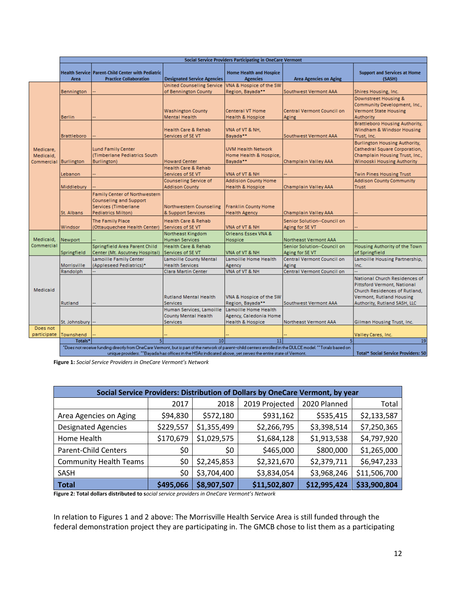|                                     | Social Service Providers Participating in OneCare Vermont                                                                                                 |                                                                                                                     |                                                          |                                                                 |                                                |                                                                                                                                       |
|-------------------------------------|-----------------------------------------------------------------------------------------------------------------------------------------------------------|---------------------------------------------------------------------------------------------------------------------|----------------------------------------------------------|-----------------------------------------------------------------|------------------------------------------------|---------------------------------------------------------------------------------------------------------------------------------------|
|                                     | Area                                                                                                                                                      | <b>Health Service   Parent-Child Center with Pediatric</b><br><b>Practice Collaboration</b>                         | <b>Designated Service Agencies</b>                       | <b>Home Health and Hospice</b><br><b>Agencies</b>               | <b>Area Agencies on Aging</b>                  | <b>Support and Services at Home</b><br>(SASH)                                                                                         |
| Medicare,<br>Medicaid.<br>Commercia | Bennington                                                                                                                                                |                                                                                                                     | <b>United Counseling Service</b><br>of Bennington County | VNA & Hospice of the SW<br>Region, Bayada**                     | Southwest Vermont AAA                          | Shires Housing, Inc.                                                                                                                  |
|                                     | <b>Berlin</b>                                                                                                                                             |                                                                                                                     | <b>Washington County</b><br><b>Mental Health</b>         | <b>Centeral VT Home</b><br>Health & Hospice                     | Central Vermont Council on<br>Aging            | Downstreet Housing &<br>Community Development, Inc.,<br><b>Vermont State Housing</b><br>Authority                                     |
|                                     | <b>Brattleboro</b>                                                                                                                                        |                                                                                                                     | <b>Health Care &amp; Rehab</b><br>Services of SE VT      | VNA of VT & NH,<br>Bayada**                                     | Southwest Vermont AAA                          | <b>Brattleboro Housing Authority,</b><br>Windham & Windsor Housing<br>Trust, Inc.                                                     |
|                                     | <b>Burlington</b>                                                                                                                                         | <b>Lund Family Center</b><br>(Timberlane Pediatrics South<br>Burlington)                                            | <b>Howard Center</b>                                     | <b>UVM Health Network</b><br>Home Health & Hospice,<br>Bayada** | Champlain Valley AAA                           | <b>Burlington Housing Authority,</b><br>Cathedral Square Corporation,<br>Champlain Housing Trust, Inc.,<br>Winooski Housing Authority |
|                                     | Lebanon                                                                                                                                                   |                                                                                                                     | <b>Health Care &amp; Rehab</b><br>Services of SE VT      | VNA of VT & NH                                                  |                                                | Twin Pines Housing Trust                                                                                                              |
|                                     | Middlebury                                                                                                                                                |                                                                                                                     | Counseling Service of<br><b>Addison County</b>           | <b>Addision County Home</b><br>Health & Hospice                 | Champlain Valley AAA                           | <b>Addison County Community</b><br><b>Trust</b>                                                                                       |
|                                     | St. Albans                                                                                                                                                | <b>Family Center of Northwestern</b><br>Counseling and Support<br>Services (Timberlane<br><b>Pediatrics Milton)</b> | Northwestern Counseling<br>& Support Services            | <b>Franklin County Home</b><br><b>Health Agency</b>             | Champlain Valley AAA                           |                                                                                                                                       |
|                                     | Windsor                                                                                                                                                   | The Family Place<br>(Ottauquechee Health Center)                                                                    | <b>Health Care &amp; Rehab</b><br>Services of SE VT      | VNA of VT & NH                                                  | Senior Solution--Council on<br>Aging for SE VT |                                                                                                                                       |
| Medicaid,                           | Newport                                                                                                                                                   |                                                                                                                     | Northeast Kingdom<br><b>Human Services</b>               | Orleans Essex VNA &<br>Hospice                                  | Northeast Vermont AAA                          |                                                                                                                                       |
| Commercial                          | Springfield                                                                                                                                               | Springfield Area Parent Child<br>Center (Mt. Ascutney Hospital)                                                     | <b>Health Care &amp; Rehab</b><br>Services of SE VT      | VNA of VT & NH                                                  | Senior Solution--Council on<br>Aging for SE VT | Housing Authority of the Town<br>of Springfield                                                                                       |
| <b>Medicaid</b>                     | Morrisville                                                                                                                                               | Lamoille Family Center<br>(Appleseed Pediatrics)*                                                                   | Lamoille County Mental<br><b>Health Services</b>         | Lamoille Home Health<br>Agency                                  | Central Vermont Council on<br>Aging            | Lamoille Housing Partnership,<br>Inc.                                                                                                 |
|                                     | Randolph                                                                                                                                                  |                                                                                                                     | <b>Clara Martin Center</b>                               | VNA of VT & NH                                                  | Central Vermont Council on                     |                                                                                                                                       |
|                                     |                                                                                                                                                           |                                                                                                                     | <b>Rutland Mental Health</b>                             | VNA & Hospice of the SW                                         |                                                | National Church Residences of<br>Pittsford Vermont, National<br>Church Residences of Rutland,<br>Vermont, Rutland Housing             |
|                                     | Rutland                                                                                                                                                   |                                                                                                                     | <b>Services</b>                                          | Region, Bayada**                                                | Southwest Vermont AAA                          | Authority, Rutland SASH, LLC                                                                                                          |
|                                     |                                                                                                                                                           |                                                                                                                     | Human Services, Lamoille                                 | Lamoille Home Health                                            |                                                |                                                                                                                                       |
|                                     |                                                                                                                                                           |                                                                                                                     | County Mental Health                                     | Agency, Caledonia Home                                          |                                                |                                                                                                                                       |
|                                     | St. Johnsbury                                                                                                                                             |                                                                                                                     | <b>Services</b>                                          | <b>Health &amp; Hospice</b>                                     | Northeast Vermont AAA                          | Gilman Housing Trust, Inc.                                                                                                            |
| Does not<br>participate             | Townshend                                                                                                                                                 |                                                                                                                     |                                                          |                                                                 |                                                | Valley Cares, Inc.                                                                                                                    |
|                                     | Totals <sup>*</sup>                                                                                                                                       |                                                                                                                     | 10 <sup>1</sup>                                          | 11                                                              |                                                | 19                                                                                                                                    |
|                                     | "Does not receive funding directly from OneCare Vermont, but is part of the network of parent-child centers enrolled in the DULCE model. "Totals based on |                                                                                                                     |                                                          |                                                                 |                                                |                                                                                                                                       |
|                                     |                                                                                                                                                           | Total* Social Service Providers: 50                                                                                 |                                                          |                                                                 |                                                |                                                                                                                                       |

**Figure 1:** *Social Service Providers in OneCare Vermont's Network* 

| Social Service Providers: Distribution of Dollars by OneCare Vermont, by year |           |             |                |              |              |
|-------------------------------------------------------------------------------|-----------|-------------|----------------|--------------|--------------|
|                                                                               | 2017      | 2018        | 2019 Projected | 2020 Planned | Total        |
| Area Agencies on Aging                                                        | \$94,830  | \$572,180   | \$931,162      | \$535,415    | \$2,133,587  |
| <b>Designated Agencies</b>                                                    | \$229,557 | \$1,355,499 | \$2,266,795    | \$3,398,514  | \$7,250,365  |
| Home Health                                                                   | \$170,679 | \$1,029,575 | \$1,684,128    | \$1,913,538  | \$4,797,920  |
| <b>Parent-Child Centers</b>                                                   | \$0       | \$0         | \$465,000      | \$800,000    | \$1,265,000  |
| <b>Community Health Teams</b>                                                 | \$0       | \$2,245,853 | \$2,321,670    | \$2,379,711  | \$6,947,233  |
| <b>SASH</b>                                                                   | \$0       | \$3,704,400 | \$3,834,054    | \$3,968,246  | \$11,506,700 |
| <b>Total</b>                                                                  | \$495,066 | \$8,907,507 | \$11,502,807   | \$12,995,424 | \$33,900,804 |

**Figure 2: Total dollars distributed to s***ocial service providers in OneCare Vermont's Network* 

In relation to Figures 1 and 2 above: The Morrisville Health Service Area is still funded through the federal demonstration project they are participating in. The GMCB chose to list them as a participating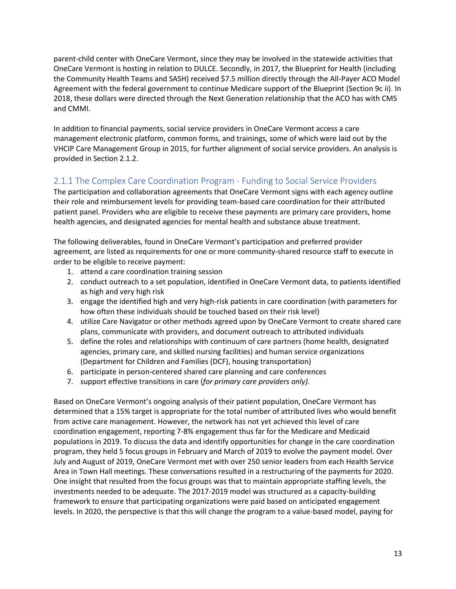parent-child center with OneCare Vermont, since they may be involved in the statewide activities that OneCare Vermont is hosting in relation to DULCE. Secondly, in 2017, the Blueprint for Health (including the Community Health Teams and SASH) received \$7.5 million directly through the All-Payer ACO Model Agreement with the federal government to continue Medicare support of the Blueprint (Section 9c ii). In 2018, these dollars were directed through the Next Generation relationship that the ACO has with CMS and CMMI.

In addition to financial payments, social service providers in OneCare Vermont access a care management electronic platform, common forms, and trainings, some of which were laid out by the VHCIP Care Management Group in 2015, for further alignment of social service providers. An analysis is provided in Section 2.1.2.

## <span id="page-12-0"></span>2.1.1 The Complex Care Coordination Program - Funding to Social Service Providers

The participation and collaboration agreements that OneCare Vermont signs with each agency outline their role and reimbursement levels for providing team-based care coordination for their attributed patient panel. Providers who are eligible to receive these payments are primary care providers, home health agencies, and designated agencies for mental health and substance abuse treatment.

The following deliverables, found in OneCare Vermont's participation and preferred provider agreement, are listed as requirements for one or more community-shared resource staff to execute in order to be eligible to receive payment:

- 1. attend a care coordination training session
- 2. conduct outreach to a set population, identified in OneCare Vermont data, to patients identified as high and very high risk
- 3. engage the identified high and very high-risk patients in care coordination (with parameters for how often these individuals should be touched based on their risk level)
- 4. utilize Care Navigator or other methods agreed upon by OneCare Vermont to create shared care plans, communicate with providers, and document outreach to attributed individuals
- 5. define the roles and relationships with continuum of care partners (home health, designated agencies, primary care, and skilled nursing facilities) and human service organizations (Department for Children and Families (DCF), housing transportation)
- 6. participate in person-centered shared care planning and care conferences
- 7. support effective transitions in care (*for primary care providers only).*

Based on OneCare Vermont's ongoing analysis of their patient population, OneCare Vermont has determined that a 15% target is appropriate for the total number of attributed lives who would benefit from active care management. However, the network has not yet achieved this level of care coordination engagement, reporting 7-8% engagement thus far for the Medicare and Medicaid populations in 2019. To discuss the data and identify opportunities for change in the care coordination program, they held 5 focus groups in February and March of 2019 to evolve the payment model. Over July and August of 2019, OneCare Vermont met with over 250 senior leaders from each Health Service Area in Town Hall meetings. These conversations resulted in a restructuring of the payments for 2020. One insight that resulted from the focus groups was that to maintain appropriate staffing levels, the investments needed to be adequate. The 2017-2019 model was structured as a capacity-building framework to ensure that participating organizations were paid based on anticipated engagement levels. In 2020, the perspective is that this will change the program to a value-based model, paying for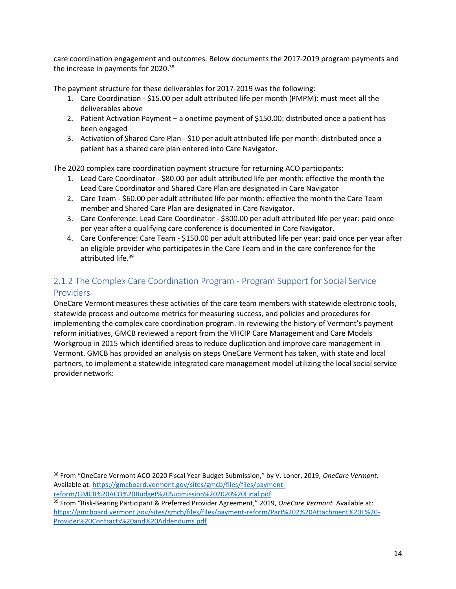care coordination engagement and outcomes. Below documents the 2017-2019 program payments and the increase in payments for  $2020.^{38}$ 

The payment structure for these deliverables for 2017-2019 was the following:

- 1. Care Coordination \$15.00 per adult attributed life per month (PMPM): must meet all the deliverables above
- 2. Patient Activation Payment a onetime payment of \$150.00: distributed once a patient has been engaged
- 3. Activation of Shared Care Plan \$10 per adult attributed life per month: distributed once a patient has a shared care plan entered into Care Navigator.

The 2020 complex care coordination payment structure for returning ACO participants:

- 1. Lead Care Coordinator \$80.00 per adult attributed life per month: effective the month the Lead Care Coordinator and Shared Care Plan are designated in Care Navigator
- 2. Care Team \$60.00 per adult attributed life per month: effective the month the Care Team member and Shared Care Plan are designated in Care Navigator.
- 3. Care Conference: Lead Care Coordinator \$300.00 per adult attributed life per year: paid once per year after a qualifying care conference is documented in Care Navigator.
- 4. Care Conference: Care Team \$150.00 per adult attributed life per year: paid once per year after an eligible provider who participates in the Care Team and in the care conference for the attributed life.<sup>39</sup>

## <span id="page-13-0"></span>2.1.2 The Complex Care Coordination Program - Program Support for Social Service Providers

OneCare Vermont measures these activities of the care team members with statewide electronic tools, statewide process and outcome metrics for measuring success, and policies and procedures for implementing the complex care coordination program. In reviewing the history of Vermont's payment reform initiatives, GMCB reviewed a report from the VHCIP Care Management and Care Models Workgroup in 2015 which identified areas to reduce duplication and improve care management in Vermont. GMCB has provided an analysis on steps OneCare Vermont has taken, with state and local partners, to implement a statewide integrated care management model utilizing the local social service provider network:

<sup>38</sup> From "OneCare Vermont ACO 2020 Fiscal Year Budget Submission," by V. Loner, 2019, *OneCare Vermont.*  Available at[: https://gmcboard.vermont.gov/sites/gmcb/files/files/payment](https://gmcboard.vermont.gov/sites/gmcb/files/files/payment-reform/GMCB%20ACO%20Budget%20Submission%202020%20Final.pdf)[reform/GMCB%20ACO%20Budget%20Submission%202020%20Final.pdf](https://gmcboard.vermont.gov/sites/gmcb/files/files/payment-reform/GMCB%20ACO%20Budget%20Submission%202020%20Final.pdf)

<sup>39</sup> From "Risk-Bearing Participant & Preferred Provider Agreement," 2019, *OneCare Vermont.* Available at: [https://gmcboard.vermont.gov/sites/gmcb/files/files/payment-reform/Part%202%20Attachment%20E%20-](https://gmcboard.vermont.gov/sites/gmcb/files/files/payment-reform/Part%202%20Attachment%20E%20-Provider%20Contracts%20and%20Addendums.pdf) [Provider%20Contracts%20and%20Addendums.pdf](https://gmcboard.vermont.gov/sites/gmcb/files/files/payment-reform/Part%202%20Attachment%20E%20-Provider%20Contracts%20and%20Addendums.pdf)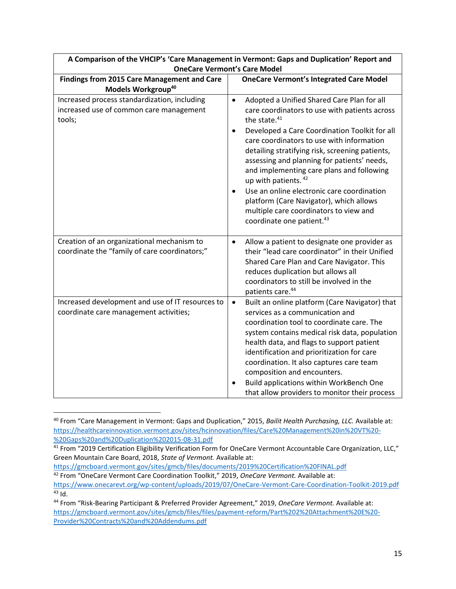| A Comparison of the VHCIP's "Care Management in Vermont: Gaps and Duplication" Report and<br><b>OneCare Vermont's Care Model</b> |                                                                                                                                                                                                                                                                                                                                                                                                                                                                                                                                                                                                                 |  |  |  |
|----------------------------------------------------------------------------------------------------------------------------------|-----------------------------------------------------------------------------------------------------------------------------------------------------------------------------------------------------------------------------------------------------------------------------------------------------------------------------------------------------------------------------------------------------------------------------------------------------------------------------------------------------------------------------------------------------------------------------------------------------------------|--|--|--|
| Findings from 2015 Care Management and Care<br>Models Workgroup <sup>40</sup>                                                    | <b>OneCare Vermont's Integrated Care Model</b>                                                                                                                                                                                                                                                                                                                                                                                                                                                                                                                                                                  |  |  |  |
| Increased process standardization, including<br>increased use of common care management<br>tools;                                | Adopted a Unified Shared Care Plan for all<br>$\bullet$<br>care coordinators to use with patients across<br>the state. <sup>41</sup><br>Developed a Care Coordination Toolkit for all<br>$\bullet$<br>care coordinators to use with information<br>detailing stratifying risk, screening patients,<br>assessing and planning for patients' needs,<br>and implementing care plans and following<br>up with patients. 42<br>Use an online electronic care coordination<br>$\bullet$<br>platform (Care Navigator), which allows<br>multiple care coordinators to view and<br>coordinate one patient. <sup>43</sup> |  |  |  |
| Creation of an organizational mechanism to<br>coordinate the "family of care coordinators;"                                      | Allow a patient to designate one provider as<br>$\bullet$<br>their "lead care coordinator" in their Unified<br>Shared Care Plan and Care Navigator. This<br>reduces duplication but allows all<br>coordinators to still be involved in the<br>patients care. <sup>44</sup>                                                                                                                                                                                                                                                                                                                                      |  |  |  |
| Increased development and use of IT resources to<br>coordinate care management activities;                                       | Built an online platform (Care Navigator) that<br>$\bullet$<br>services as a communication and<br>coordination tool to coordinate care. The<br>system contains medical risk data, population<br>health data, and flags to support patient<br>identification and prioritization for care<br>coordination. It also captures care team<br>composition and encounters.<br>Build applications within WorkBench One<br>$\bullet$<br>that allow providers to monitor their process                                                                                                                                     |  |  |  |

**A Comparison of the VHCIP's 'Care Management in Vermont: Gaps and Duplication' Report and** 

<sup>40</sup> From "Care Management in Vermont: Gaps and Duplication," 2015, *Bailit Health Purchasing, LLC.* Available at: [https://healthcareinnovation.vermont.gov/sites/hcinnovation/files/Care%20Management%20in%20VT%20-](https://healthcareinnovation.vermont.gov/sites/hcinnovation/files/Care%20Management%20in%20VT%20-%20Gaps%20and%20Duplication%202015-08-31.pdf) [%20Gaps%20and%20Duplication%202015-08-31.pdf](https://healthcareinnovation.vermont.gov/sites/hcinnovation/files/Care%20Management%20in%20VT%20-%20Gaps%20and%20Duplication%202015-08-31.pdf)

<sup>&</sup>lt;sup>41</sup> From "2019 Certification Eligibility Verification Form for OneCare Vermont Accountable Care Organization, LLC," Green Mountain Care Board, 2018, *State of Vermont.* Available at:

<https://gmcboard.vermont.gov/sites/gmcb/files/documents/2019%20Certification%20FINAL.pdf> <sup>42</sup> From "OneCare Vermont Care Coordination Toolkit," 2019, *OneCare Vermont.* Available at:

<https://www.onecarevt.org/wp-content/uploads/2019/07/OneCare-Vermont-Care-Coordination-Toolkit-2019.pdf>  $43$  Id.

<sup>44</sup> From "Risk-Bearing Participant & Preferred Provider Agreement," 2019, *OneCare Vermont.* Available at: [https://gmcboard.vermont.gov/sites/gmcb/files/files/payment-reform/Part%202%20Attachment%20E%20-](https://gmcboard.vermont.gov/sites/gmcb/files/files/payment-reform/Part%202%20Attachment%20E%20-Provider%20Contracts%20and%20Addendums.pdf) [Provider%20Contracts%20and%20Addendums.pdf](https://gmcboard.vermont.gov/sites/gmcb/files/files/payment-reform/Part%202%20Attachment%20E%20-Provider%20Contracts%20and%20Addendums.pdf)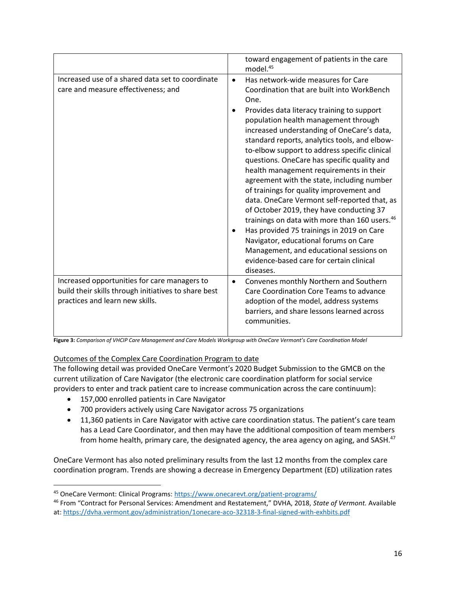|                                                                                                                                         | toward engagement of patients in the care<br>model. <sup>45</sup>                                                                                                                                                                                                                                                                                                                                                                                                                                                                                                                                                                                                                                                                                                                                                         |
|-----------------------------------------------------------------------------------------------------------------------------------------|---------------------------------------------------------------------------------------------------------------------------------------------------------------------------------------------------------------------------------------------------------------------------------------------------------------------------------------------------------------------------------------------------------------------------------------------------------------------------------------------------------------------------------------------------------------------------------------------------------------------------------------------------------------------------------------------------------------------------------------------------------------------------------------------------------------------------|
| Increased use of a shared data set to coordinate<br>care and measure effectiveness; and                                                 | Has network-wide measures for Care<br>$\bullet$<br>Coordination that are built into WorkBench<br>One.<br>Provides data literacy training to support<br>population health management through<br>increased understanding of OneCare's data,<br>standard reports, analytics tools, and elbow-<br>to-elbow support to address specific clinical<br>questions. OneCare has specific quality and<br>health management requirements in their<br>agreement with the state, including number<br>of trainings for quality improvement and<br>data. OneCare Vermont self-reported that, as<br>of October 2019, they have conducting 37<br>trainings on data with more than 160 users. <sup>46</sup><br>Has provided 75 trainings in 2019 on Care<br>Navigator, educational forums on Care<br>Management, and educational sessions on |
|                                                                                                                                         | evidence-based care for certain clinical<br>diseases.                                                                                                                                                                                                                                                                                                                                                                                                                                                                                                                                                                                                                                                                                                                                                                     |
| Increased opportunities for care managers to<br>build their skills through initiatives to share best<br>practices and learn new skills. | Convenes monthly Northern and Southern<br>$\bullet$<br>Care Coordination Core Teams to advance<br>adoption of the model, address systems<br>barriers, and share lessons learned across<br>communities.                                                                                                                                                                                                                                                                                                                                                                                                                                                                                                                                                                                                                    |

**Figure 3:** *Comparison of VHCIP Care Management and Care Models Workgroup with OneCare Vermont's Care Coordination Model* 

#### Outcomes of the Complex Care Coordination Program to date

The following detail was provided OneCare Vermont's 2020 Budget Submission to the GMCB on the current utilization of Care Navigator (the electronic care coordination platform for social service providers to enter and track patient care to increase communication across the care continuum):

- 157,000 enrolled patients in Care Navigator
- 700 providers actively using Care Navigator across 75 organizations
- 11,360 patients in Care Navigator with active care coordination status. The patient's care team has a Lead Care Coordinator, and then may have the additional composition of team members from home health, primary care, the designated agency, the area agency on aging, and SASH.<sup>47</sup>

OneCare Vermont has also noted preliminary results from the last 12 months from the complex care coordination program. Trends are showing a decrease in Emergency Department (ED) utilization rates

<sup>45</sup> OneCare Vermont: Clinical Programs:<https://www.onecarevt.org/patient-programs/>

<sup>46</sup> From "Contract for Personal Services: Amendment and Restatement," DVHA, 2018, *State of Vermont.* Available at:<https://dvha.vermont.gov/administration/1onecare-aco-32318-3-final-signed-with-exhbits.pdf>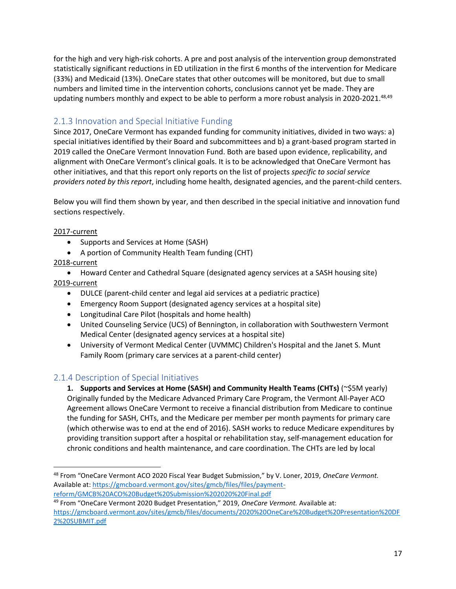for the high and very high-risk cohorts. A pre and post analysis of the intervention group demonstrated statistically significant reductions in ED utilization in the first 6 months of the intervention for Medicare (33%) and Medicaid (13%). OneCare states that other outcomes will be monitored, but due to small numbers and limited time in the intervention cohorts, conclusions cannot yet be made. They are updating numbers monthly and expect to be able to perform a more robust analysis in 2020-2021.<sup>48,49</sup>

## <span id="page-16-0"></span>2.1.3 Innovation and Special Initiative Funding

Since 2017, OneCare Vermont has expanded funding for community initiatives, divided in two ways: a) special initiatives identified by their Board and subcommittees and b) a grant-based program started in 2019 called the OneCare Vermont Innovation Fund. Both are based upon evidence, replicability, and alignment with OneCare Vermont's clinical goals. It is to be acknowledged that OneCare Vermont has other initiatives, and that this report only reports on the list of projects *specific to social service providers noted by this report*, including home health, designated agencies, and the parent-child centers.

Below you will find them shown by year, and then described in the special initiative and innovation fund sections respectively.

#### 2017-current

- Supports and Services at Home (SASH)
- A portion of Community Health Team funding (CHT)

#### 2018-current

• Howard Center and Cathedral Square (designated agency services at a SASH housing site) 2019-current

- DULCE (parent-child center and legal aid services at a pediatric practice)
- Emergency Room Support (designated agency services at a hospital site)
- Longitudinal Care Pilot (hospitals and home health)
- United Counseling Service (UCS) of Bennington, in collaboration with Southwestern Vermont Medical Center (designated agency services at a hospital site)
- University of Vermont Medical Center (UVMMC) Children's Hospital and the Janet S. Munt Family Room (primary care services at a parent-child center)

## <span id="page-16-1"></span>2.1.4 Description of Special Initiatives

**1. Supports and Services at Home (SASH) and Community Health Teams (CHTs)** (~\$5M yearly) Originally funded by the Medicare Advanced Primary Care Program, the Vermont All-Payer ACO Agreement allows OneCare Vermont to receive a financial distribution from Medicare to continue the funding for SASH, CHTs, and the Medicare per member per month payments for primary care (which otherwise was to end at the end of 2016). SASH works to reduce Medicare expenditures by providing transition support after a hospital or rehabilitation stay, self-management education for chronic conditions and health maintenance, and care coordination. The CHTs are led by local

<sup>48</sup> From "OneCare Vermont ACO 2020 Fiscal Year Budget Submission," by V. Loner, 2019, *OneCare Vermont.*  Available at[: https://gmcboard.vermont.gov/sites/gmcb/files/files/payment](https://gmcboard.vermont.gov/sites/gmcb/files/files/payment-reform/GMCB%20ACO%20Budget%20Submission%202020%20Final.pdf)[reform/GMCB%20ACO%20Budget%20Submission%202020%20Final.pdf](https://gmcboard.vermont.gov/sites/gmcb/files/files/payment-reform/GMCB%20ACO%20Budget%20Submission%202020%20Final.pdf)

<sup>49</sup> From "OneCare Vermont 2020 Budget Presentation," 2019, *OneCare Vermont.* Available at: [https://gmcboard.vermont.gov/sites/gmcb/files/documents/2020%20OneCare%20Budget%20Presentation%20DF](https://gmcboard.vermont.gov/sites/gmcb/files/documents/2020%20OneCare%20Budget%20Presentation%20DF2%20SUBMIT.pdf) [2%20SUBMIT.pdf](https://gmcboard.vermont.gov/sites/gmcb/files/documents/2020%20OneCare%20Budget%20Presentation%20DF2%20SUBMIT.pdf)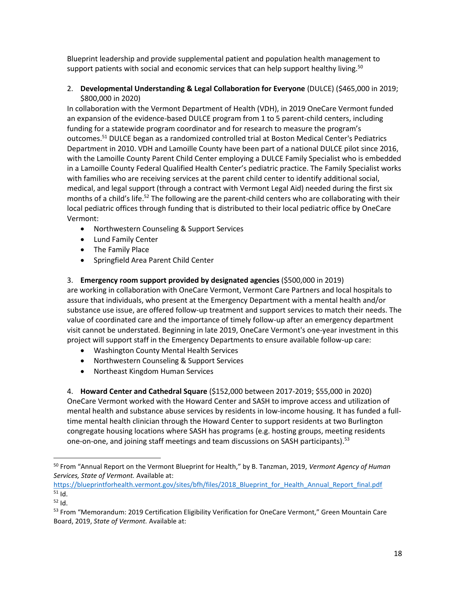Blueprint leadership and provide supplemental patient and population health management to support patients with social and economic services that can help support healthy living.<sup>50</sup>

#### 2. **Developmental Understanding & Legal Collaboration for Everyone** (DULCE) (\$465,000 in 2019; \$800,000 in 2020)

In collaboration with the Vermont Department of Health (VDH), in 2019 OneCare Vermont funded an expansion of the evidence-based DULCE program from 1 to 5 parent-child centers, including funding for a statewide program coordinator and for research to measure the program's outcomes.<sup>51</sup> DULCE began as a randomized controlled trial at Boston Medical Center's Pediatrics Department in 2010. VDH and Lamoille County have been part of a national DULCE pilot since 2016, with the Lamoille County Parent Child Center employing a DULCE Family Specialist who is embedded in a Lamoille County Federal Qualified Health Center's pediatric practice. The Family Specialist works with families who are receiving services at the parent child center to identify additional social, medical, and legal support (through a contract with Vermont Legal Aid) needed during the first six months of a child's life.<sup>52</sup> The following are the parent-child centers who are collaborating with their local pediatric offices through funding that is distributed to their local pediatric office by OneCare Vermont:

- Northwestern Counseling & Support Services
- Lund Family Center
- The Family Place
- Springfield Area Parent Child Center

#### 3. **Emergency room support provided by designated agencies** (\$500,000 in 2019)

are working in collaboration with OneCare Vermont, Vermont Care Partners and local hospitals to assure that individuals, who present at the Emergency Department with a mental health and/or substance use issue, are offered follow-up treatment and support services to match their needs. The value of coordinated care and the importance of timely follow-up after an emergency department visit cannot be understated. Beginning in late 2019, OneCare Vermont's one-year investment in this project will support staff in the Emergency Departments to ensure available follow-up care:

- Washington County Mental Health Services
- Northwestern Counseling & Support Services
- Northeast Kingdom Human Services

4. **Howard Center and Cathedral Square** (\$152,000 between 2017-2019; \$55,000 in 2020) OneCare Vermont worked with the Howard Center and SASH to improve access and utilization of mental health and substance abuse services by residents in low-income housing. It has funded a fulltime mental health clinician through the Howard Center to support residents at two Burlington congregate housing locations where SASH has programs (e.g. hosting groups, meeting residents one-on-one, and joining staff meetings and team discussions on SASH participants).<sup>53</sup>

[https://blueprintforhealth.vermont.gov/sites/bfh/files/2018\\_Blueprint\\_for\\_Health\\_Annual\\_Report\\_final.pdf](https://blueprintforhealth.vermont.gov/sites/bfh/files/2018_Blueprint_for_Health_Annual_Report_final.pdf)  $51$  Id.

<sup>50</sup> From "Annual Report on the Vermont Blueprint for Health," by B. Tanzman, 2019, *Vermont Agency of Human Services, State of Vermont.* Available at:

<sup>52</sup> Id.

<sup>&</sup>lt;sup>53</sup> From "Memorandum: 2019 Certification Eligibility Verification for OneCare Vermont," Green Mountain Care Board, 2019, *State of Vermont.* Available at: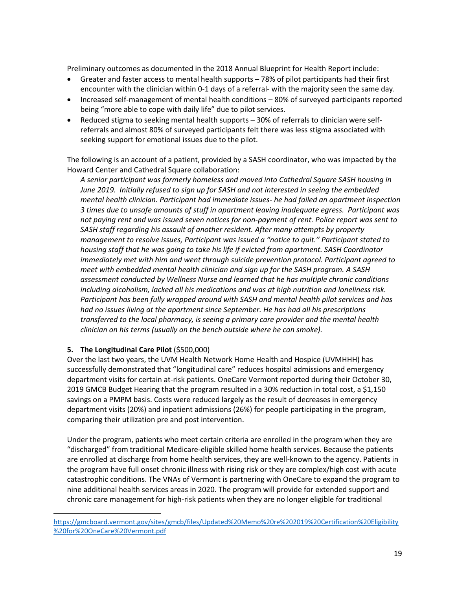Preliminary outcomes as documented in the 2018 Annual Blueprint for Health Report include:

- Greater and faster access to mental health supports 78% of pilot participants had their first encounter with the clinician within 0-1 days of a referral- with the majority seen the same day.
- Increased self-management of mental health conditions 80% of surveyed participants reported being "more able to cope with daily life" due to pilot services.
- Reduced stigma to seeking mental health supports 30% of referrals to clinician were selfreferrals and almost 80% of surveyed participants felt there was less stigma associated with seeking support for emotional issues due to the pilot.

The following is an account of a patient, provided by a SASH coordinator, who was impacted by the Howard Center and Cathedral Square collaboration:

*A senior participant was formerly homeless and moved into Cathedral Square SASH housing in June 2019. Initially refused to sign up for SASH and not interested in seeing the embedded mental health clinician. Participant had immediate issues- he had failed an apartment inspection 3 times due to unsafe amounts of stuff in apartment leaving inadequate egress. Participant was not paying rent and was issued seven notices for non-payment of rent. Police report was sent to SASH staff regarding his assault of another resident. After many attempts by property management to resolve issues, Participant was issued a "notice to quit." Participant stated to housing staff that he was going to take his life if evicted from apartment. SASH Coordinator immediately met with him and went through suicide prevention protocol. Participant agreed to meet with embedded mental health clinician and sign up for the SASH program. A SASH assessment conducted by Wellness Nurse and learned that he has multiple chronic conditions including alcoholism, lacked all his medications and was at high nutrition and loneliness risk. Participant has been fully wrapped around with SASH and mental health pilot services and has had no issues living at the apartment since September. He has had all his prescriptions transferred to the local pharmacy, is seeing a primary care provider and the mental health clinician on his terms (usually on the bench outside where he can smoke).*

#### **5. The Longitudinal Care Pilot** (\$500,000)

Over the last two years, the UVM Health Network Home Health and Hospice (UVMHHH) has successfully demonstrated that "longitudinal care" reduces hospital admissions and emergency department visits for certain at-risk patients. OneCare Vermont reported during their October 30, 2019 GMCB Budget Hearing that the program resulted in a 30% reduction in total cost, a \$1,150 savings on a PMPM basis. Costs were reduced largely as the result of decreases in emergency department visits (20%) and inpatient admissions (26%) for people participating in the program, comparing their utilization pre and post intervention.

Under the program, patients who meet certain criteria are enrolled in the program when they are "discharged" from traditional Medicare-eligible skilled home health services. Because the patients are enrolled at discharge from home health services, they are well-known to the agency. Patients in the program have full onset chronic illness with rising risk or they are complex/high cost with acute catastrophic conditions. The VNAs of Vermont is partnering with OneCare to expand the program to nine additional health services areas in 2020. The program will provide for extended support and chronic care management for high-risk patients when they are no longer eligible for traditional

[https://gmcboard.vermont.gov/sites/gmcb/files/Updated%20Memo%20re%202019%20Certification%20Eligibility](https://gmcboard.vermont.gov/sites/gmcb/files/Updated%20Memo%20re%202019%20Certification%20Eligibility%20for%20OneCare%20Vermont.pdf) [%20for%20OneCare%20Vermont.pdf](https://gmcboard.vermont.gov/sites/gmcb/files/Updated%20Memo%20re%202019%20Certification%20Eligibility%20for%20OneCare%20Vermont.pdf)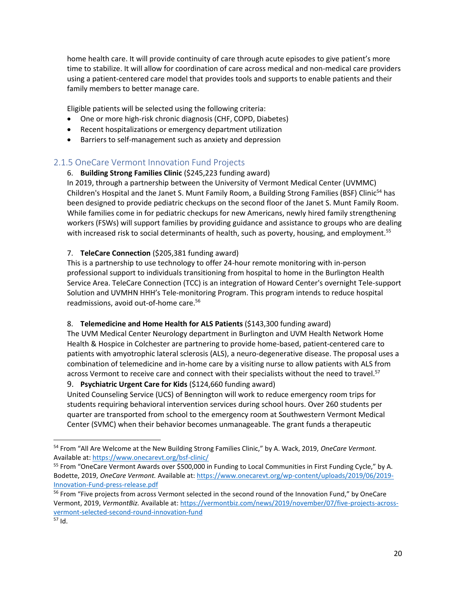home health care. It will provide continuity of care through acute episodes to give patient's more time to stabilize. It will allow for coordination of care across medical and non-medical care providers using a patient-centered care model that provides tools and supports to enable patients and their family members to better manage care.

Eligible patients will be selected using the following criteria:

- One or more high-risk chronic diagnosis (CHF, COPD, Diabetes)
- Recent hospitalizations or emergency department utilization
- Barriers to self-management such as anxiety and depression

## <span id="page-19-0"></span>2.1.5 OneCare Vermont Innovation Fund Projects

### 6. **Building Strong Families Clinic** (\$245,223 funding award)

In 2019, through a partnership between the University of Vermont Medical Center (UVMMC) Children's Hospital and the Janet S. Munt Family Room, a Building Strong Families (BSF) Clinic<sup>54</sup> has been designed to provide pediatric checkups on the second floor of the Janet S. Munt Family Room. While families come in for pediatric checkups for new Americans, newly hired family strengthening workers (FSWs) will support families by providing guidance and assistance to groups who are dealing with increased risk to social determinants of health, such as poverty, housing, and employment.<sup>55</sup>

### 7. **TeleCare Connection** (\$205,381 funding award)

This is a partnership to use technology to offer 24-hour remote monitoring with in-person professional support to individuals transitioning from hospital to home in the Burlington Health Service Area. TeleCare Connection (TCC) is an integration of Howard Center's overnight Tele-support Solution and UVMHN HHH's Tele-monitoring Program. This program intends to reduce hospital readmissions, avoid out-of-home care.<sup>56</sup>

#### 8. **Telemedicine and Home Health for ALS Patients** (\$143,300 funding award)

The UVM Medical Center Neurology department in Burlington and UVM Health Network Home Health & Hospice in Colchester are partnering to provide home-based, patient-centered care to patients with amyotrophic lateral sclerosis (ALS), a neuro-degenerative disease. The proposal uses a combination of telemedicine and in-home care by a visiting nurse to allow patients with ALS from across Vermont to receive care and connect with their specialists without the need to travel.<sup>57</sup>

#### 9. **Psychiatric Urgent Care for Kids** (\$124,660 funding award)

United Counseling Service (UCS) of Bennington will work to reduce emergency room trips for students requiring behavioral intervention services during school hours. Over 260 students per quarter are transported from school to the emergency room at Southwestern Vermont Medical Center (SVMC) when their behavior becomes unmanageable. The grant funds a therapeutic

<sup>54</sup> From "All Are Welcome at the New Building Strong Families Clinic," by A. Wack, 2019, *OneCare Vermont.*  Available at[: https://www.onecarevt.org/bsf-clinic/](https://www.onecarevt.org/bsf-clinic/)

<sup>55</sup> From "OneCare Vermont Awards over \$500,000 in Funding to Local Communities in First Funding Cycle," by A. Bodette, 2019, *OneCare Vermont.* Available at: [https://www.onecarevt.org/wp-content/uploads/2019/06/2019-](https://www.onecarevt.org/wp-content/uploads/2019/06/2019-Innovation-Fund-press-release.pdf) [Innovation-Fund-press-release.pdf](https://www.onecarevt.org/wp-content/uploads/2019/06/2019-Innovation-Fund-press-release.pdf)

<sup>&</sup>lt;sup>56</sup> From "Five projects from across Vermont selected in the second round of the Innovation Fund," by OneCare Vermont, 2019, *VermontBiz.* Available at: [https://vermontbiz.com/news/2019/november/07/five-projects-across](https://vermontbiz.com/news/2019/november/07/five-projects-across-vermont-selected-second-round-innovation-fund)[vermont-selected-second-round-innovation-fund](https://vermontbiz.com/news/2019/november/07/five-projects-across-vermont-selected-second-round-innovation-fund)

<sup>57</sup> Id.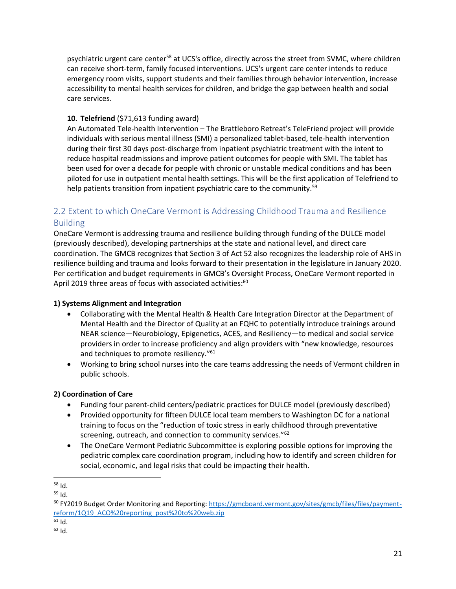psychiatric urgent care center<sup>58</sup> at UCS's office, directly across the street from SVMC, where children can receive short-term, family focused interventions. UCS's urgent care center intends to reduce emergency room visits, support students and their families through behavior intervention, increase accessibility to mental health services for children, and bridge the gap between health and social care services.

### **10. Telefriend** (\$71,613 funding award)

An Automated Tele-health Intervention – The Brattleboro Retreat's TeleFriend project will provide individuals with serious mental illness (SMI) a personalized tablet-based, tele-health intervention during their first 30 days post-discharge from inpatient psychiatric treatment with the intent to reduce hospital readmissions and improve patient outcomes for people with SMI. The tablet has been used for over a decade for people with chronic or unstable medical conditions and has been piloted for use in outpatient mental health settings. This will be the first application of Telefriend to help patients transition from inpatient psychiatric care to the community.<sup>59</sup>

# <span id="page-20-0"></span>2.2 Extent to which OneCare Vermont is Addressing Childhood Trauma and Resilience Building

OneCare Vermont is addressing trauma and resilience building through funding of the DULCE model (previously described), developing partnerships at the state and national level, and direct care coordination. The GMCB recognizes that Section 3 of Act 52 also recognizes the leadership role of AHS in resilience building and trauma and looks forward to their presentation in the legislature in January 2020. Per certification and budget requirements in GMCB's Oversight Process, OneCare Vermont reported in April 2019 three areas of focus with associated activities:<sup>60</sup>

#### **1) Systems Alignment and Integration**

- Collaborating with the Mental Health & Health Care Integration Director at the Department of Mental Health and the Director of Quality at an FQHC to potentially introduce trainings around NEAR science—Neurobiology, Epigenetics, ACES, and Resiliency—to medical and social service providers in order to increase proficiency and align providers with "new knowledge, resources and techniques to promote resiliency."<sup>61</sup>
- Working to bring school nurses into the care teams addressing the needs of Vermont children in public schools.

## **2) Coordination of Care**

- Funding four parent-child centers/pediatric practices for DULCE model (previously described)
- Provided opportunity for fifteen DULCE local team members to Washington DC for a national training to focus on the "reduction of toxic stress in early childhood through preventative screening, outreach, and connection to community services."<sup>62</sup>
- The OneCare Vermont Pediatric Subcommittee is exploring possible options for improving the pediatric complex care coordination program, including how to identify and screen children for social, economic, and legal risks that could be impacting their health.

<sup>58</sup> Id.

 $59$  Id.

 $60$  FY2019 Budget Order Monitoring and Reporting[: https://gmcboard.vermont.gov/sites/gmcb/files/files/payment](https://gmcboard.vermont.gov/sites/gmcb/files/files/payment-reform/1Q19_ACO%20reporting_post%20to%20web.zip)[reform/1Q19\\_ACO%20reporting\\_post%20to%20web.zip](https://gmcboard.vermont.gov/sites/gmcb/files/files/payment-reform/1Q19_ACO%20reporting_post%20to%20web.zip)

 $61$  Id.

 $62$  Id.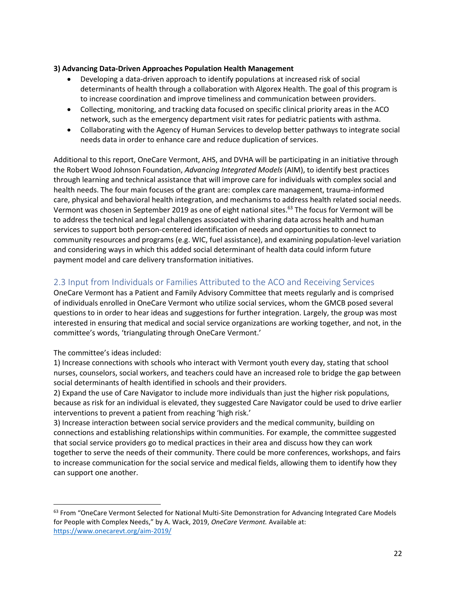#### **3) Advancing Data-Driven Approaches Population Health Management**

- Developing a data-driven approach to identify populations at increased risk of social determinants of health through a collaboration with Algorex Health. The goal of this program is to increase coordination and improve timeliness and communication between providers.
- Collecting, monitoring, and tracking data focused on specific clinical priority areas in the ACO network, such as the emergency department visit rates for pediatric patients with asthma.
- Collaborating with the Agency of Human Services to develop better pathways to integrate social needs data in order to enhance care and reduce duplication of services.

Additional to this report, OneCare Vermont, AHS, and DVHA will be participating in an initiative through the Robert Wood Johnson Foundation, *Advancing Integrated Models* (AIM), to identify best practices through learning and technical assistance that will improve care for individuals with complex social and health needs. The four main focuses of the grant are: complex care management, trauma-informed care, physical and behavioral health integration, and mechanisms to address health related social needs. Vermont was chosen in September 2019 as one of eight national sites.<sup>63</sup> The focus for Vermont will be to address the technical and legal challenges associated with sharing data across health and human services to support both person-centered identification of needs and opportunities to connect to community resources and programs (e.g. WIC, fuel assistance), and examining population-level variation and considering ways in which this added social determinant of health data could inform future payment model and care delivery transformation initiatives.

## <span id="page-21-0"></span>2.3 Input from Individuals or Families Attributed to the ACO and Receiving Services

OneCare Vermont has a Patient and Family Advisory Committee that meets regularly and is comprised of individuals enrolled in OneCare Vermont who utilize social services, whom the GMCB posed several questions to in order to hear ideas and suggestions for further integration. Largely, the group was most interested in ensuring that medical and social service organizations are working together, and not, in the committee's words, 'triangulating through OneCare Vermont.'

The committee's ideas included:

1) Increase connections with schools who interact with Vermont youth every day, stating that school nurses, counselors, social workers, and teachers could have an increased role to bridge the gap between social determinants of health identified in schools and their providers.

2) Expand the use of Care Navigator to include more individuals than just the higher risk populations, because as risk for an individual is elevated, they suggested Care Navigator could be used to drive earlier interventions to prevent a patient from reaching 'high risk.'

3) Increase interaction between social service providers and the medical community, building on connections and establishing relationships within communities. For example, the committee suggested that social service providers go to medical practices in their area and discuss how they can work together to serve the needs of their community. There could be more conferences, workshops, and fairs to increase communication for the social service and medical fields, allowing them to identify how they can support one another.

<sup>&</sup>lt;sup>63</sup> From "OneCare Vermont Selected for National Multi-Site Demonstration for Advancing Integrated Care Models for People with Complex Needs," by A. Wack, 2019, *OneCare Vermont.* Available at: <https://www.onecarevt.org/aim-2019/>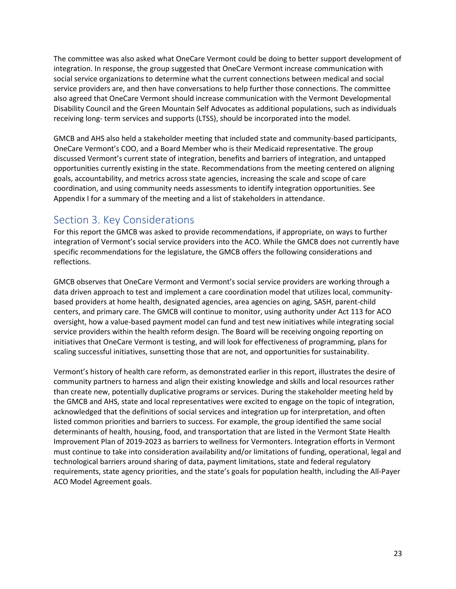The committee was also asked what OneCare Vermont could be doing to better support development of integration. In response, the group suggested that OneCare Vermont increase communication with social service organizations to determine what the current connections between medical and social service providers are, and then have conversations to help further those connections. The committee also agreed that OneCare Vermont should increase communication with the Vermont Developmental Disability Council and the Green Mountain Self Advocates as additional populations, such as individuals receiving long- term services and supports (LTSS), should be incorporated into the model.

GMCB and AHS also held a stakeholder meeting that included state and community-based participants, OneCare Vermont's COO, and a Board Member who is their Medicaid representative. The group discussed Vermont's current state of integration, benefits and barriers of integration, and untapped opportunities currently existing in the state. Recommendations from the meeting centered on aligning goals, accountability, and metrics across state agencies, increasing the scale and scope of care coordination, and using community needs assessments to identify integration opportunities. See Appendix I for a summary of the meeting and a list of stakeholders in attendance.

# <span id="page-22-0"></span>Section 3. Key Considerations

For this report the GMCB was asked to provide recommendations, if appropriate, on ways to further integration of Vermont's social service providers into the ACO. While the GMCB does not currently have specific recommendations for the legislature, the GMCB offers the following considerations and reflections.

GMCB observes that OneCare Vermont and Vermont's social service providers are working through a data driven approach to test and implement a care coordination model that utilizes local, communitybased providers at home health, designated agencies, area agencies on aging, SASH, parent-child centers, and primary care. The GMCB will continue to monitor, using authority under Act 113 for ACO oversight, how a value-based payment model can fund and test new initiatives while integrating social service providers within the health reform design. The Board will be receiving ongoing reporting on initiatives that OneCare Vermont is testing, and will look for effectiveness of programming, plans for scaling successful initiatives, sunsetting those that are not, and opportunities for sustainability.

Vermont's history of health care reform, as demonstrated earlier in this report, illustrates the desire of community partners to harness and align their existing knowledge and skills and local resources rather than create new, potentially duplicative programs or services. During the stakeholder meeting held by the GMCB and AHS, state and local representatives were excited to engage on the topic of integration, acknowledged that the definitions of social services and integration up for interpretation, and often listed common priorities and barriers to success. For example, the group identified the same social determinants of health, housing, food, and transportation that are listed in the Vermont State Health Improvement Plan of 2019-2023 as barriers to wellness for Vermonters. Integration efforts in Vermont must continue to take into consideration availability and/or limitations of funding, operational, legal and technological barriers around sharing of data, payment limitations, state and federal regulatory requirements, state agency priorities, and the state's goals for population health, including the All-Payer ACO Model Agreement goals.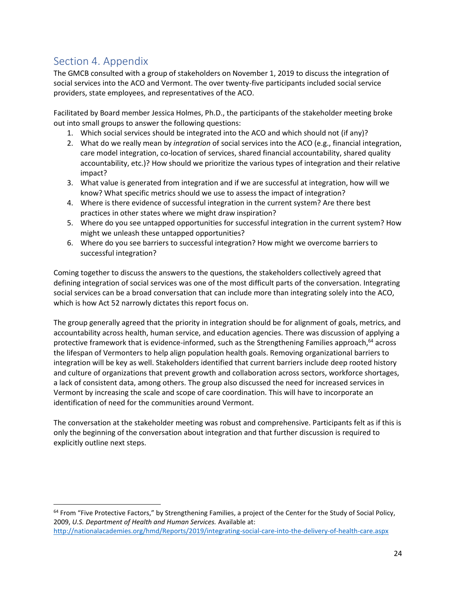# <span id="page-23-0"></span>Section 4. Appendix

The GMCB consulted with a group of stakeholders on November 1, 2019 to discuss the integration of social services into the ACO and Vermont. The over twenty-five participants included social service providers, state employees, and representatives of the ACO.

Facilitated by Board member Jessica Holmes, Ph.D., the participants of the stakeholder meeting broke out into small groups to answer the following questions:

- 1. Which social services should be integrated into the ACO and which should not (if any)?
- 2. What do we really mean by *integration* of social services into the ACO (e.g., financial integration, care model integration, co-location of services, shared financial accountability, shared quality accountability, etc.)? How should we prioritize the various types of integration and their relative impact?
- 3. What value is generated from integration and if we are successful at integration, how will we know? What specific metrics should we use to assess the impact of integration?
- 4. Where is there evidence of successful integration in the current system? Are there best practices in other states where we might draw inspiration?
- 5. Where do you see untapped opportunities for successful integration in the current system? How might we unleash these untapped opportunities?
- 6. Where do you see barriers to successful integration? How might we overcome barriers to successful integration?

Coming together to discuss the answers to the questions, the stakeholders collectively agreed that defining integration of social services was one of the most difficult parts of the conversation. Integrating social services can be a broad conversation that can include more than integrating solely into the ACO, which is how Act 52 narrowly dictates this report focus on.

The group generally agreed that the priority in integration should be for alignment of goals, metrics, and accountability across health, human service, and education agencies. There was discussion of applying a protective framework that is evidence-informed, such as the Strengthening Families approach, <sup>64</sup> across the lifespan of Vermonters to help align population health goals. Removing organizational barriers to integration will be key as well. Stakeholders identified that current barriers include deep rooted history and culture of organizations that prevent growth and collaboration across sectors, workforce shortages, a lack of consistent data, among others. The group also discussed the need for increased services in Vermont by increasing the scale and scope of care coordination. This will have to incorporate an identification of need for the communities around Vermont.

The conversation at the stakeholder meeting was robust and comprehensive. Participants felt as if this is only the beginning of the conversation about integration and that further discussion is required to explicitly outline next steps.

<sup>&</sup>lt;sup>64</sup> From "Five Protective Factors," by Strengthening Families, a project of the Center for the Study of Social Policy, 2009, *U.S. Department of Health and Human Services.* Available at: